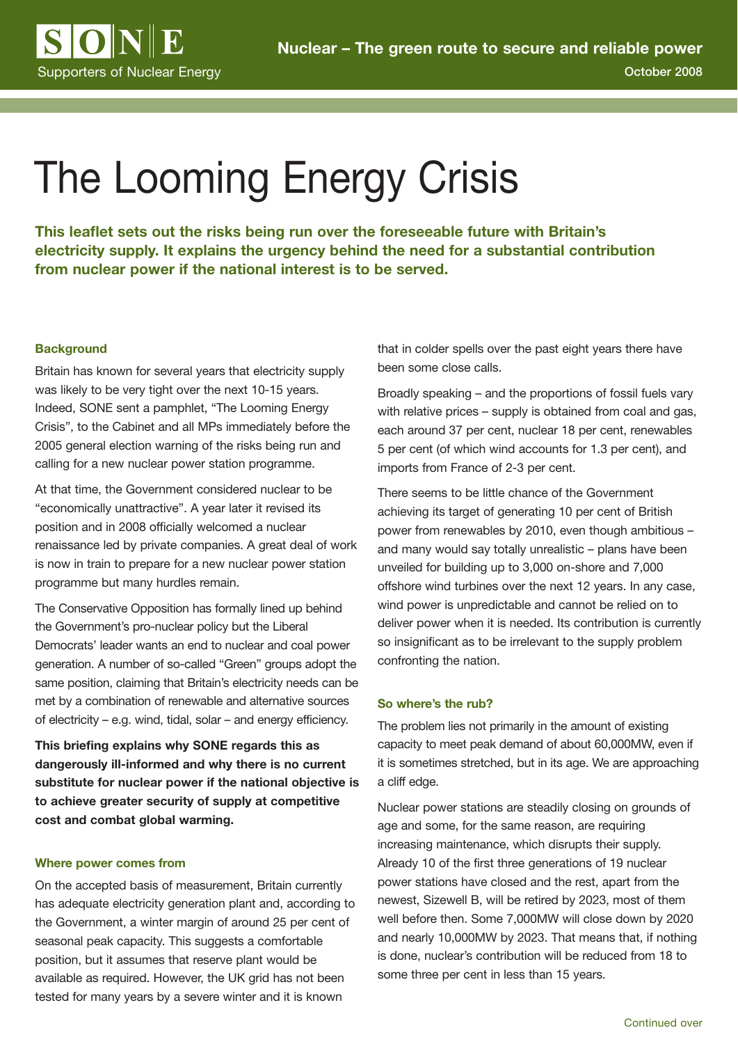

# The Looming Energy Crisis

**This leaflet sets out the risks being run over the foreseeable future with Britain's electricity supply. It explains the urgency behind the need for a substantial contribution from nuclear power if the national interest is to be served.**

#### **Background**

Britain has known for several years that electricity supply was likely to be very tight over the next 10-15 years. Indeed, SONE sent a pamphlet, "The Looming Energy Crisis", to the Cabinet and all MPs immediately before the 2005 general election warning of the risks being run and calling for a new nuclear power station programme.

At that time, the Government considered nuclear to be "economically unattractive". A year later it revised its position and in 2008 officially welcomed a nuclear renaissance led by private companies. A great deal of work is now in train to prepare for a new nuclear power station programme but many hurdles remain.

The Conservative Opposition has formally lined up behind the Government's pro-nuclear policy but the Liberal Democrats' leader wants an end to nuclear and coal power generation. A number of so-called "Green" groups adopt the same position, claiming that Britain's electricity needs can be met by a combination of renewable and alternative sources of electricity – e.g. wind, tidal, solar – and energy efficiency.

**This briefing explains why SONE regards this as dangerously ill-informed and why there is no current substitute for nuclear power if the national objective is to achieve greater security of supply at competitive cost and combat global warming.**

#### **Where power comes from**

On the accepted basis of measurement, Britain currently has adequate electricity generation plant and, according to the Government, a winter margin of around 25 per cent of seasonal peak capacity. This suggests a comfortable position, but it assumes that reserve plant would be available as required. However, the UK grid has not been tested for many years by a severe winter and it is known

that in colder spells over the past eight years there have been some close calls.

Broadly speaking – and the proportions of fossil fuels vary with relative prices – supply is obtained from coal and gas, each around 37 per cent, nuclear 18 per cent, renewables 5 per cent (of which wind accounts for 1.3 per cent), and imports from France of 2-3 per cent.

There seems to be little chance of the Government achieving its target of generating 10 per cent of British power from renewables by 2010, even though ambitious – and many would say totally unrealistic – plans have been unveiled for building up to 3,000 on-shore and 7,000 offshore wind turbines over the next 12 years. In any case, wind power is unpredictable and cannot be relied on to deliver power when it is needed. Its contribution is currently so insignificant as to be irrelevant to the supply problem confronting the nation.

#### **So where's the rub?**

The problem lies not primarily in the amount of existing capacity to meet peak demand of about 60,000MW, even if it is sometimes stretched, but in its age. We are approaching a cliff edge.

Nuclear power stations are steadily closing on grounds of age and some, for the same reason, are requiring increasing maintenance, which disrupts their supply. Already 10 of the first three generations of 19 nuclear power stations have closed and the rest, apart from the newest, Sizewell B, will be retired by 2023, most of them well before then. Some 7,000MW will close down by 2020 and nearly 10,000MW by 2023. That means that, if nothing is done, nuclear's contribution will be reduced from 18 to some three per cent in less than 15 years.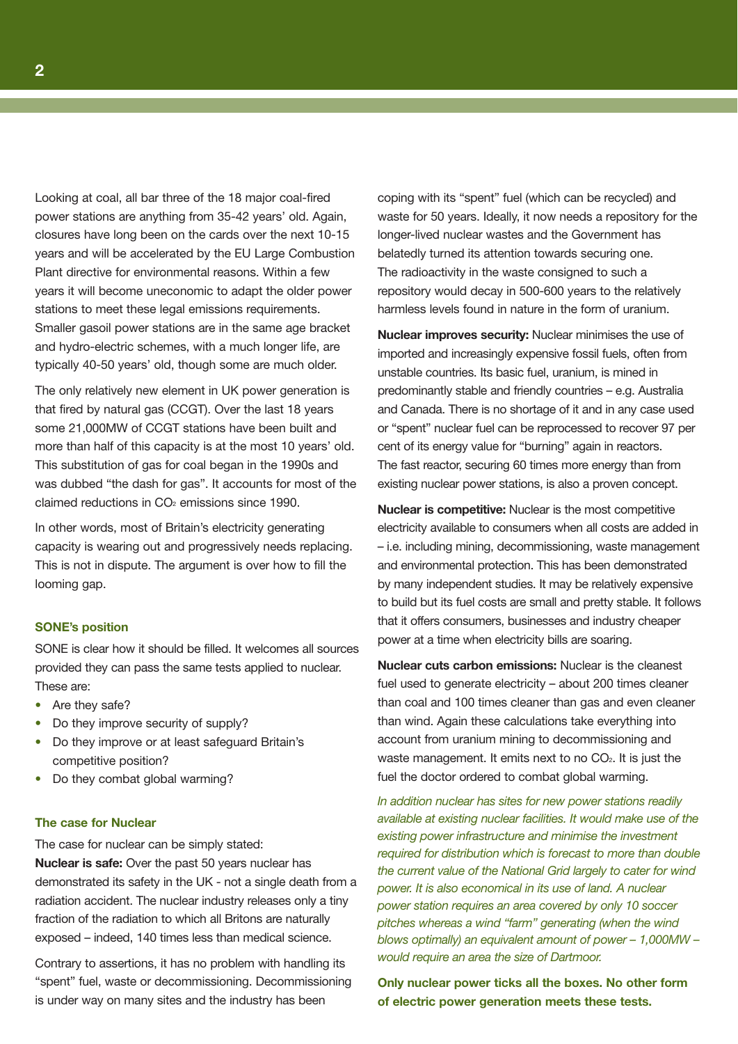Looking at coal, all bar three of the 18 major coal-fired power stations are anything from 35-42 years' old. Again, closures have long been on the cards over the next 10-15 years and will be accelerated by the EU Large Combustion Plant directive for environmental reasons. Within a few years it will become uneconomic to adapt the older power stations to meet these legal emissions requirements. Smaller gasoil power stations are in the same age bracket and hydro-electric schemes, with a much longer life, are typically 40-50 years' old, though some are much older.

The only relatively new element in UK power generation is that fired by natural gas (CCGT). Over the last 18 years some 21,000MW of CCGT stations have been built and more than half of this capacity is at the most 10 years' old. This substitution of gas for coal began in the 1990s and was dubbed "the dash for gas". It accounts for most of the claimed reductions in  $CO<sub>2</sub>$  emissions since 1990.

In other words, most of Britain's electricity generating capacity is wearing out and progressively needs replacing. This is not in dispute. The argument is over how to fill the looming gap.

#### **SONE's position**

SONE is clear how it should be filled. It welcomes all sources provided they can pass the same tests applied to nuclear. These are:

- **•** Are they safe?
- **•** Do they improve security of supply?
- **•** Do they improve or at least safeguard Britain's competitive position?
- **•** Do they combat global warming?

#### **The case for Nuclear**

The case for nuclear can be simply stated:

**Nuclear is safe:** Over the past 50 years nuclear has demonstrated its safety in the UK - not a single death from a radiation accident. The nuclear industry releases only a tiny fraction of the radiation to which all Britons are naturally exposed – indeed, 140 times less than medical science.

Contrary to assertions, it has no problem with handling its "spent" fuel, waste or decommissioning. Decommissioning is under way on many sites and the industry has been

coping with its "spent" fuel (which can be recycled) and waste for 50 years. Ideally, it now needs a repository for the longer-lived nuclear wastes and the Government has belatedly turned its attention towards securing one. The radioactivity in the waste consigned to such a repository would decay in 500-600 years to the relatively harmless levels found in nature in the form of uranium.

**Nuclear improves security:** Nuclear minimises the use of imported and increasingly expensive fossil fuels, often from unstable countries. Its basic fuel, uranium, is mined in predominantly stable and friendly countries – e.g. Australia and Canada. There is no shortage of it and in any case used or "spent" nuclear fuel can be reprocessed to recover 97 per cent of its energy value for "burning" again in reactors. The fast reactor, securing 60 times more energy than from existing nuclear power stations, is also a proven concept.

**Nuclear is competitive:** Nuclear is the most competitive electricity available to consumers when all costs are added in – i.e. including mining, decommissioning, waste management and environmental protection. This has been demonstrated by many independent studies. It may be relatively expensive to build but its fuel costs are small and pretty stable. It follows that it offers consumers, businesses and industry cheaper power at a time when electricity bills are soaring.

**Nuclear cuts carbon emissions:** Nuclear is the cleanest fuel used to generate electricity – about 200 times cleaner than coal and 100 times cleaner than gas and even cleaner than wind. Again these calculations take everything into account from uranium mining to decommissioning and waste management. It emits next to no CO<sub>2</sub>. It is just the fuel the doctor ordered to combat global warming.

In addition nuclear has sites for new power stations readily available at existing nuclear facilities. It would make use of the existing power infrastructure and minimise the investment required for distribution which is forecast to more than double the current value of the National Grid largely to cater for wind power. It is also economical in its use of land. A nuclear power station requires an area covered by only 10 soccer pitches whereas a wind "farm" generating (when the wind blows optimally) an equivalent amount of power – 1,000MW – would require an area the size of Dartmoor.

**Only nuclear power ticks all the boxes. No other form of electric power generation meets these tests.**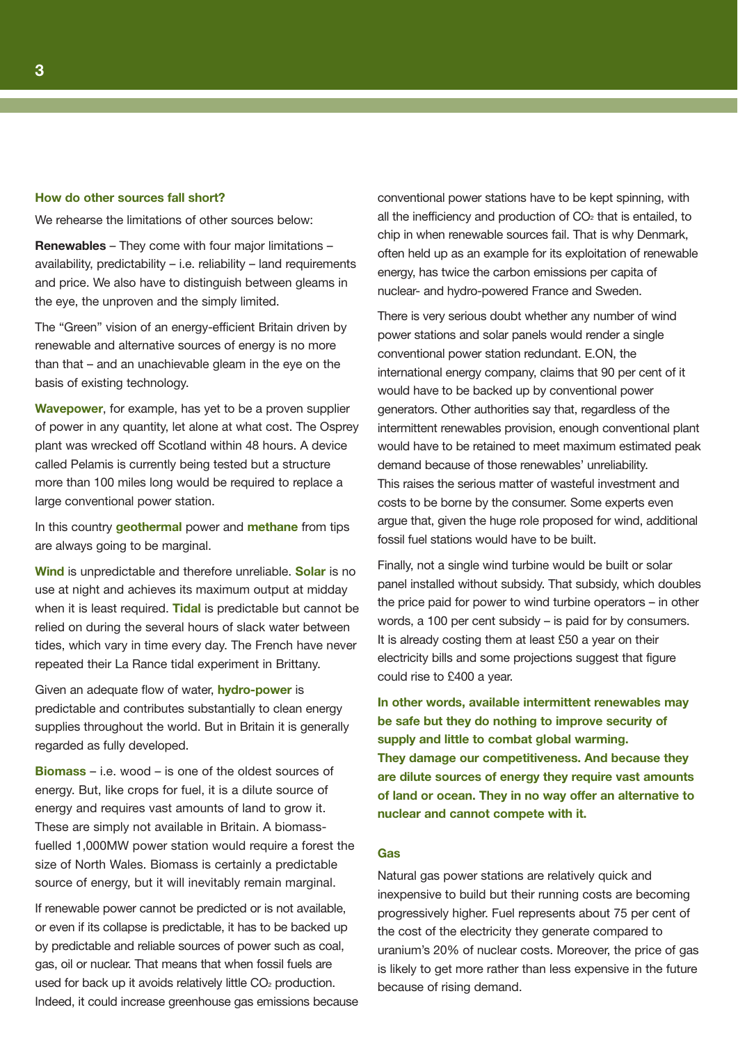#### **How do other sources fall short?**

We rehearse the limitations of other sources below:

**Renewables** – They come with four major limitations – availability, predictability – i.e. reliability – land requirements and price. We also have to distinguish between gleams in the eye, the unproven and the simply limited.

The "Green" vision of an energy-efficient Britain driven by renewable and alternative sources of energy is no more than that – and an unachievable gleam in the eye on the basis of existing technology.

**Wavepower**, for example, has yet to be a proven supplier of power in any quantity, let alone at what cost. The Osprey plant was wrecked off Scotland within 48 hours. A device called Pelamis is currently being tested but a structure more than 100 miles long would be required to replace a large conventional power station.

In this country **geothermal** power and **methane** from tips are always going to be marginal.

**Wind** is unpredictable and therefore unreliable. **Solar** is no use at night and achieves its maximum output at midday when it is least required. **Tidal** is predictable but cannot be relied on during the several hours of slack water between tides, which vary in time every day. The French have never repeated their La Rance tidal experiment in Brittany.

Given an adequate flow of water, **hydro-power** is predictable and contributes substantially to clean energy supplies throughout the world. But in Britain it is generally regarded as fully developed.

**Biomass** – i.e. wood – is one of the oldest sources of energy. But, like crops for fuel, it is a dilute source of energy and requires vast amounts of land to grow it. These are simply not available in Britain. A biomassfuelled 1,000MW power station would require a forest the size of North Wales. Biomass is certainly a predictable source of energy, but it will inevitably remain marginal.

If renewable power cannot be predicted or is not available, or even if its collapse is predictable, it has to be backed up by predictable and reliable sources of power such as coal, gas, oil or nuclear. That means that when fossil fuels are used for back up it avoids relatively little CO<sub>2</sub> production. Indeed, it could increase greenhouse gas emissions because conventional power stations have to be kept spinning, with all the inefficiency and production of  $CO<sub>2</sub>$  that is entailed, to chip in when renewable sources fail. That is why Denmark, often held up as an example for its exploitation of renewable energy, has twice the carbon emissions per capita of nuclear- and hydro-powered France and Sweden.

There is very serious doubt whether any number of wind power stations and solar panels would render a single conventional power station redundant. E.ON, the international energy company, claims that 90 per cent of it would have to be backed up by conventional power generators. Other authorities say that, regardless of the intermittent renewables provision, enough conventional plant would have to be retained to meet maximum estimated peak demand because of those renewables' unreliability. This raises the serious matter of wasteful investment and costs to be borne by the consumer. Some experts even argue that, given the huge role proposed for wind, additional fossil fuel stations would have to be built.

Finally, not a single wind turbine would be built or solar panel installed without subsidy. That subsidy, which doubles the price paid for power to wind turbine operators – in other words, a 100 per cent subsidy – is paid for by consumers. It is already costing them at least £50 a year on their electricity bills and some projections suggest that figure could rise to £400 a year.

**In other words, available intermittent renewables may be safe but they do nothing to improve security of supply and little to combat global warming. They damage our competitiveness. And because they are dilute sources of energy they require vast amounts of land or ocean. They in no way offer an alternative to nuclear and cannot compete with it.**

#### **Gas**

Natural gas power stations are relatively quick and inexpensive to build but their running costs are becoming progressively higher. Fuel represents about 75 per cent of the cost of the electricity they generate compared to uranium's 20% of nuclear costs. Moreover, the price of gas is likely to get more rather than less expensive in the future because of rising demand.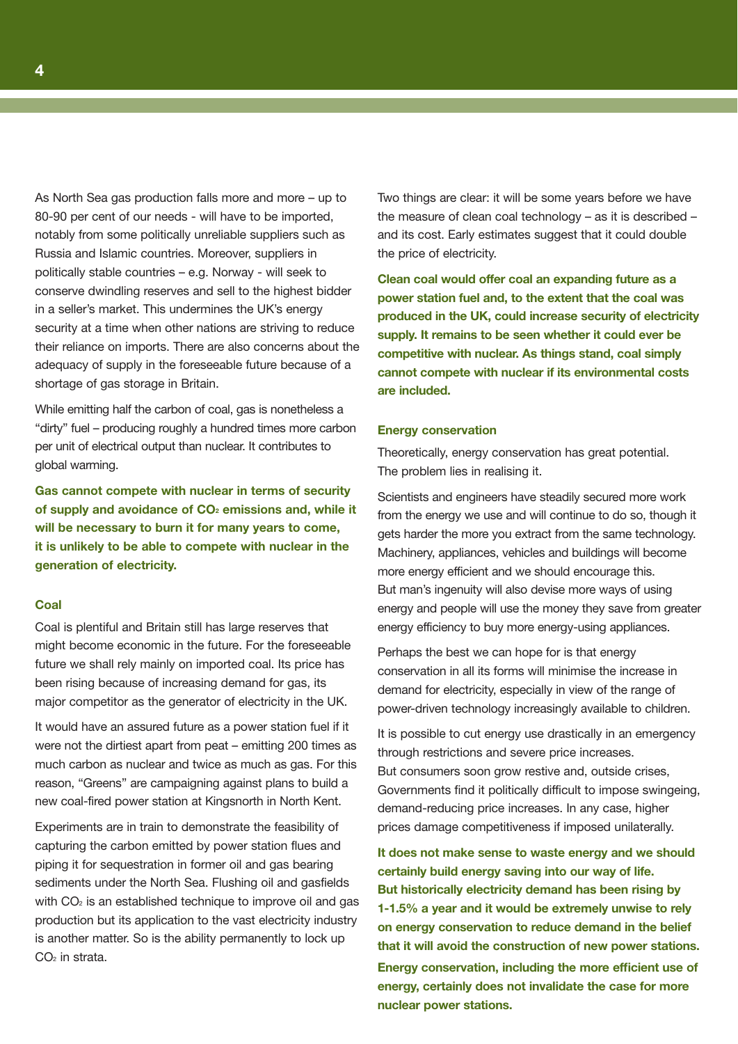As North Sea gas production falls more and more – up to 80-90 per cent of our needs - will have to be imported, notably from some politically unreliable suppliers such as Russia and Islamic countries. Moreover, suppliers in politically stable countries – e.g. Norway - will seek to conserve dwindling reserves and sell to the highest bidder in a seller's market. This undermines the UK's energy security at a time when other nations are striving to reduce their reliance on imports. There are also concerns about the adequacy of supply in the foreseeable future because of a shortage of gas storage in Britain.

While emitting half the carbon of coal, gas is nonetheless a "dirty" fuel – producing roughly a hundred times more carbon per unit of electrical output than nuclear. It contributes to global warming.

**Gas cannot compete with nuclear in terms of security of supply and avoidance of CO2 emissions and, while it will be necessary to burn it for many years to come, it is unlikely to be able to compete with nuclear in the generation of electricity.**

#### **Coal**

Coal is plentiful and Britain still has large reserves that might become economic in the future. For the foreseeable future we shall rely mainly on imported coal. Its price has been rising because of increasing demand for gas, its major competitor as the generator of electricity in the UK.

It would have an assured future as a power station fuel if it were not the dirtiest apart from peat – emitting 200 times as much carbon as nuclear and twice as much as gas. For this reason, "Greens" are campaigning against plans to build a new coal-fired power station at Kingsnorth in North Kent.

Experiments are in train to demonstrate the feasibility of capturing the carbon emitted by power station flues and piping it for sequestration in former oil and gas bearing sediments under the North Sea. Flushing oil and gasfields with CO<sub>2</sub> is an established technique to improve oil and gas production but its application to the vast electricity industry is another matter. So is the ability permanently to lock up CO<sub>2</sub> in strata.

Two things are clear: it will be some years before we have the measure of clean coal technology – as it is described – and its cost. Early estimates suggest that it could double the price of electricity.

**Clean coal would offer coal an expanding future as a power station fuel and, to the extent that the coal was produced in the UK, could increase security of electricity supply. It remains to be seen whether it could ever be competitive with nuclear. As things stand, coal simply cannot compete with nuclear if its environmental costs are included.** 

#### **Energy conservation**

Theoretically, energy conservation has great potential. The problem lies in realising it.

Scientists and engineers have steadily secured more work from the energy we use and will continue to do so, though it gets harder the more you extract from the same technology. Machinery, appliances, vehicles and buildings will become more energy efficient and we should encourage this. But man's ingenuity will also devise more ways of using energy and people will use the money they save from greater energy efficiency to buy more energy-using appliances.

Perhaps the best we can hope for is that energy conservation in all its forms will minimise the increase in demand for electricity, especially in view of the range of power-driven technology increasingly available to children.

It is possible to cut energy use drastically in an emergency through restrictions and severe price increases. But consumers soon grow restive and, outside crises, Governments find it politically difficult to impose swingeing, demand-reducing price increases. In any case, higher prices damage competitiveness if imposed unilaterally.

**It does not make sense to waste energy and we should certainly build energy saving into our way of life. But historically electricity demand has been rising by 1-1.5% a year and it would be extremely unwise to rely on energy conservation to reduce demand in the belief that it will avoid the construction of new power stations.** 

**Energy conservation, including the more efficient use of energy, certainly does not invalidate the case for more nuclear power stations.**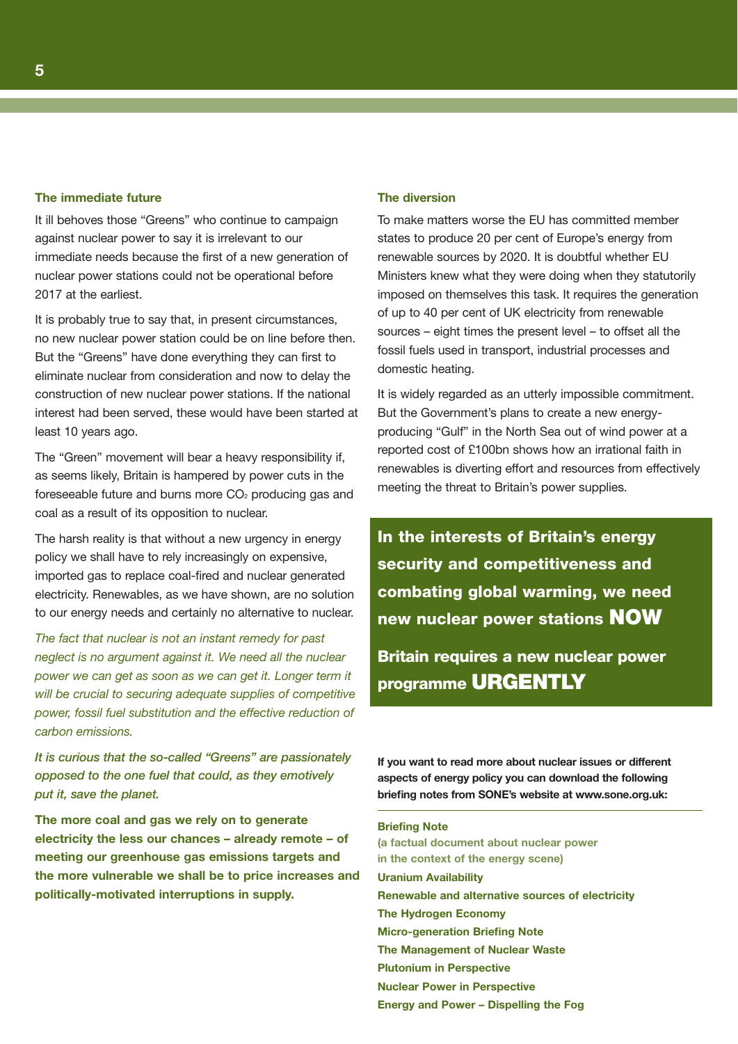#### **The immediate future**

It ill behoves those "Greens" who continue to campaign against nuclear power to say it is irrelevant to our immediate needs because the first of a new generation of nuclear power stations could not be operational before 2017 at the earliest.

It is probably true to say that, in present circumstances, no new nuclear power station could be on line before then. But the "Greens" have done everything they can first to eliminate nuclear from consideration and now to delay the construction of new nuclear power stations. If the national interest had been served, these would have been started at least 10 years ago.

The "Green" movement will bear a heavy responsibility if, as seems likely, Britain is hampered by power cuts in the foreseeable future and burns more CO<sub>2</sub> producing gas and coal as a result of its opposition to nuclear.

The harsh reality is that without a new urgency in energy policy we shall have to rely increasingly on expensive, imported gas to replace coal-fired and nuclear generated electricity. Renewables, as we have shown, are no solution to our energy needs and certainly no alternative to nuclear.

The fact that nuclear is not an instant remedy for past neglect is no argument against it. We need all the nuclear power we can get as soon as we can get it. Longer term it will be crucial to securing adequate supplies of competitive power, fossil fuel substitution and the effective reduction of carbon emissions.

**It is curious that the so-called "Greens" are passionately opposed to the one fuel that could, as they emotively put it, save the planet.** 

**The more coal and gas we rely on to generate electricity the less our chances – already remote – of meeting our greenhouse gas emissions targets and the more vulnerable we shall be to price increases and politically-motivated interruptions in supply.**

#### **The diversion**

To make matters worse the EU has committed member states to produce 20 per cent of Europe's energy from renewable sources by 2020. It is doubtful whether EU Ministers knew what they were doing when they statutorily imposed on themselves this task. It requires the generation of up to 40 per cent of UK electricity from renewable sources – eight times the present level – to offset all the fossil fuels used in transport, industrial processes and domestic heating.

It is widely regarded as an utterly impossible commitment. But the Government's plans to create a new energyproducing "Gulf" in the North Sea out of wind power at a reported cost of £100bn shows how an irrational faith in renewables is diverting effort and resources from effectively meeting the threat to Britain's power supplies.

**In the interests of Britain's energy security and competitiveness and combating global warming, we need new nuclear power stations NOW**

**Britain requires a new nuclear power programme URGENTLY**

**If you want to read more about nuclear issues or different aspects of energy policy you can download the following briefing notes from SONE's website at www.sone.org.uk:**

### **Briefing Note**

**(a factual document about nuclear power in the context of the energy scene) Uranium Availability Renewable and alternative sources of electricity The Hydrogen Economy Micro-generation Briefing Note The Management of Nuclear Waste Plutonium in Perspective Nuclear Power in Perspective Energy and Power – Dispelling the Fog**